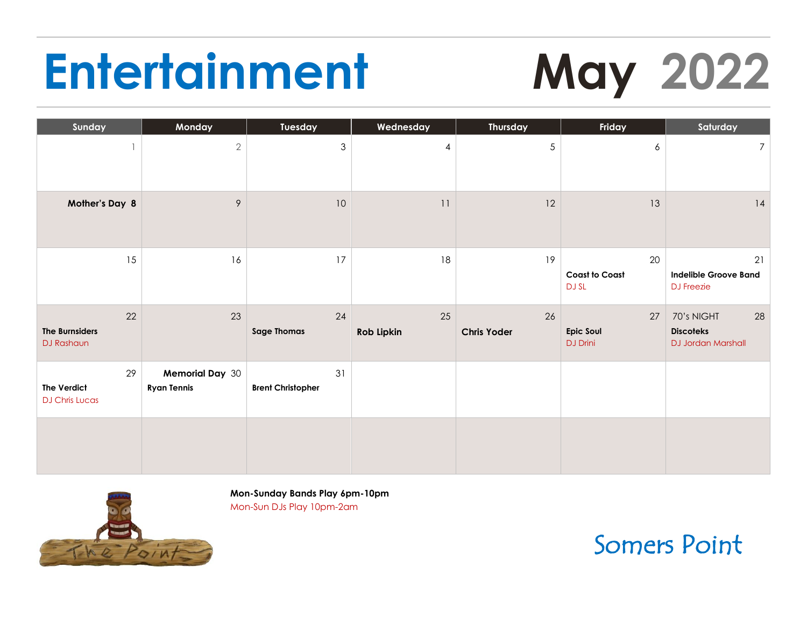# **Entertainment May 2022**

| Sunday                                            | Monday                                       | Tuesday                        | Wednesday        | <b>Thursday</b>          | Friday                               | Saturday                                                   |
|---------------------------------------------------|----------------------------------------------|--------------------------------|------------------|--------------------------|--------------------------------------|------------------------------------------------------------|
|                                                   | $\sqrt{2}$                                   | $\mathfrak{S}$                 | 4                | 5                        | 6                                    | 7 <sup>1</sup>                                             |
| Mother's Day 8                                    | $\mathcal{P}$                                | $10$                           | 11               | 12                       | 13                                   | 14                                                         |
| 15                                                | 16                                           | 17                             | 18               | 19                       | 20<br><b>Coast to Coast</b><br>DJ SL | 21<br><b>Indelible Groove Band</b><br><b>DJ</b> Freezie    |
| 22<br><b>The Burnsiders</b><br>DJ Rashaun         | 23                                           | 24<br><b>Sage Thomas</b>       | 25<br>Rob Lipkin | 26<br><b>Chris Yoder</b> | 27<br>Epic Soul<br>DJ Drini          | 28<br>70's NIGHT<br><b>Discoteks</b><br>DJ Jordan Marshall |
| 29<br><b>The Verdict</b><br><b>DJ Chris Lucas</b> | <b>Memorial Day 30</b><br><b>Ryan Tennis</b> | 31<br><b>Brent Christopher</b> |                  |                          |                                      |                                                            |
|                                                   |                                              |                                |                  |                          |                                      |                                                            |



**Mon-Sunday Bands Play 6pm-10pm** Mon-Sun DJs Play 10pm-2am

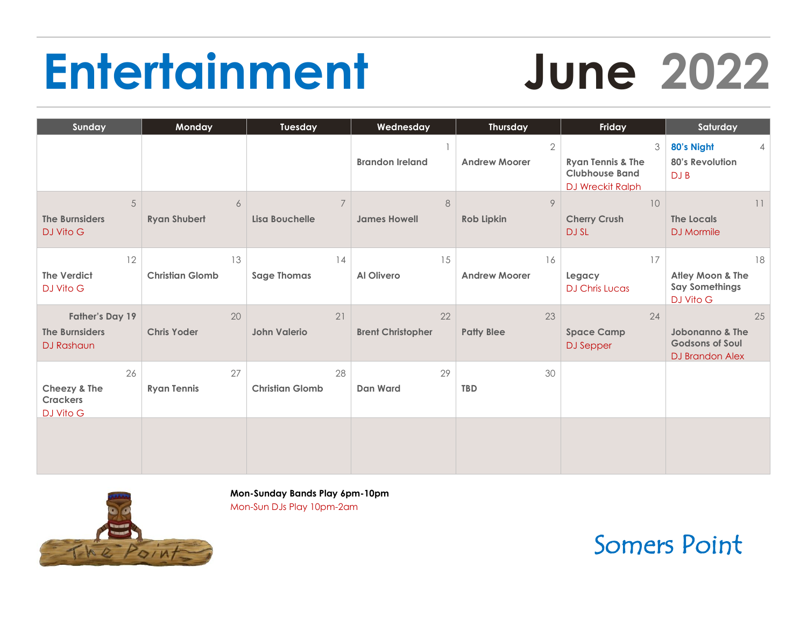# **Entertainment June 2022**

| Sunday                                                               | Monday                                  | Tuesday                          | Wednesday                      | <b>Thursday</b>                      | Friday                                                                                | Saturday                                                                      |
|----------------------------------------------------------------------|-----------------------------------------|----------------------------------|--------------------------------|--------------------------------------|---------------------------------------------------------------------------------------|-------------------------------------------------------------------------------|
|                                                                      |                                         |                                  | <b>Brandon Ireland</b>         | $\mathbf{2}$<br><b>Andrew Moorer</b> | 3<br><b>Ryan Tennis &amp; The</b><br><b>Clubhouse Band</b><br><b>DJ Wreckit Ralph</b> | 80's Night<br>$\overline{4}$<br><b>80's Revolution</b><br>DJ B                |
| 5<br><b>The Burnsiders</b><br>DJ Vito G                              | $\boldsymbol{6}$<br><b>Ryan Shubert</b> | $\overline{7}$<br>Lisa Bouchelle | $\,8\,$<br><b>James Howell</b> | 9<br>Rob Lipkin                      | 10<br><b>Cherry Crush</b><br><b>DJ SL</b>                                             | 11<br>The Locals<br><b>DJ</b> Mormile                                         |
| 12<br><b>The Verdict</b><br>DJ Vito G                                | 13<br><b>Christian Glomb</b>            | 14<br><b>Sage Thomas</b>         | 15<br>Al Olivero               | 16<br><b>Andrew Moorer</b>           | 17<br>Legacy<br><b>DJ Chris Lucas</b>                                                 | 18<br>Atley Moon & The<br><b>Say Somethings</b><br>DJ Vito G                  |
| <b>Father's Day 19</b><br><b>The Burnsiders</b><br><b>DJ Rashaun</b> | 20<br><b>Chris Yoder</b>                | 21<br><b>John Valerio</b>        | 22<br><b>Brent Christopher</b> | 23<br><b>Patty Blee</b>              | 24<br><b>Space Camp</b><br><b>DJ</b> Sepper                                           | 25<br><b>Jobonanno &amp; The</b><br><b>Godsons of Soul</b><br>DJ Brandon Alex |
| 26<br>Cheezy & The<br><b>Crackers</b><br>DJ Vito G                   | 27<br><b>Ryan Tennis</b>                | 28<br><b>Christian Glomb</b>     | 29<br><b>Dan Ward</b>          | 30<br><b>TBD</b>                     |                                                                                       |                                                                               |
|                                                                      |                                         |                                  |                                |                                      |                                                                                       |                                                                               |



**Mon-Sunday Bands Play 6pm-10pm** Mon-Sun DJs Play 10pm-2am

Somers Point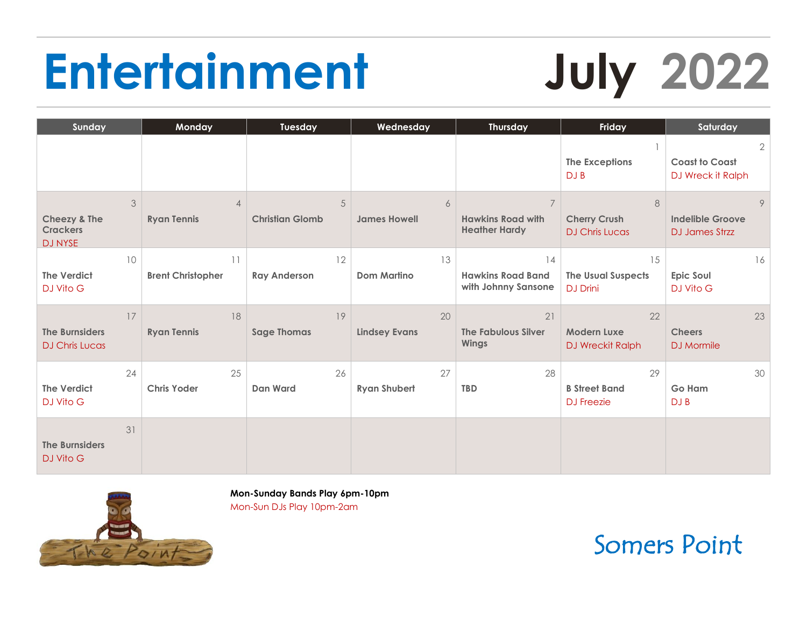# **Entertainment July 2022**

| Sunday                                                            | Monday                               | Tuesday                     | Wednesday                  | <b>Thursday</b>                                                    | Friday                                             | Saturday                                                     |
|-------------------------------------------------------------------|--------------------------------------|-----------------------------|----------------------------|--------------------------------------------------------------------|----------------------------------------------------|--------------------------------------------------------------|
|                                                                   |                                      |                             |                            |                                                                    | <b>The Exceptions</b><br>DJ B                      | $\overline{2}$<br><b>Coast to Coast</b><br>DJ Wreck it Ralph |
| 3<br><b>Cheezy &amp; The</b><br><b>Crackers</b><br><b>DJ NYSE</b> | $\overline{4}$<br><b>Ryan Tennis</b> | 5<br><b>Christian Glomb</b> | 6<br><b>James Howell</b>   | $\overline{7}$<br><b>Hawkins Road with</b><br><b>Heather Hardy</b> | 8<br><b>Cherry Crush</b><br><b>DJ Chris Lucas</b>  | 9<br><b>Indelible Groove</b><br><b>DJ James Strzz</b>        |
| 10<br><b>The Verdict</b><br>DJ Vito G                             | 11<br><b>Brent Christopher</b>       | 12<br><b>Ray Anderson</b>   | 13<br><b>Dom Martino</b>   | 14<br><b>Hawkins Road Band</b><br>with Johnny Sansone              | 15<br><b>The Usual Suspects</b><br><b>DJ Drini</b> | 16<br>Epic Soul<br>DJ Vito G                                 |
| 17<br><b>The Burnsiders</b><br><b>DJ Chris Lucas</b>              | 18<br><b>Ryan Tennis</b>             | 19<br><b>Sage Thomas</b>    | 20<br><b>Lindsey Evans</b> | 21<br><b>The Fabulous Silver</b><br><b>Wings</b>                   | 22<br>Modern Luxe<br><b>DJ Wreckit Ralph</b>       | 23<br><b>Cheers</b><br>DJ Mormile                            |
| 24<br><b>The Verdict</b><br>DJ Vito G                             | 25<br><b>Chris Yoder</b>             | 26<br><b>Dan Ward</b>       | 27<br><b>Ryan Shubert</b>  | 28<br><b>TBD</b>                                                   | 29<br><b>B Street Band</b><br><b>DJ</b> Freezie    | 30<br>Go Ham<br>DJ B                                         |
| 31<br><b>The Burnsiders</b><br>DJ Vito G                          |                                      |                             |                            |                                                                    |                                                    |                                                              |



**Mon-Sunday Bands Play 6pm-10pm** Mon-Sun DJs Play 10pm-2am

Somers Point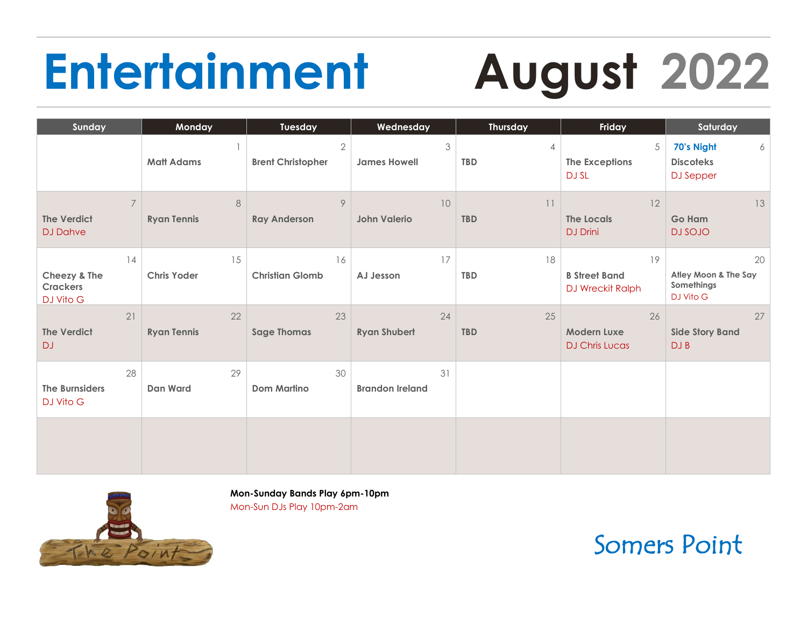# **Entertainment August 2022**

| Sunday                                                  | Monday                        | Tuesday                                | Wednesday                    | Thursday                        | Friday                                            | Saturday                                              |
|---------------------------------------------------------|-------------------------------|----------------------------------------|------------------------------|---------------------------------|---------------------------------------------------|-------------------------------------------------------|
|                                                         | <b>Matt Adams</b>             | $\sqrt{2}$<br><b>Brent Christopher</b> | 3<br><b>James Howell</b>     | $\overline{4}$<br><b>TBD</b>    | 5<br>The Exceptions<br>DJ SL                      | 70's Night<br>6<br><b>Discoteks</b><br>DJ Sepper      |
| $\overline{7}$<br><b>The Verdict</b><br><b>DJ Dahve</b> | $\,8\,$<br><b>Ryan Tennis</b> | 9<br><b>Ray Anderson</b>               | 10<br><b>John Valerio</b>    | $\lceil$ $\rceil$<br><b>TBD</b> | 12<br><b>The Locals</b><br><b>DJ</b> Drini        | 13<br><b>Go Ham</b><br><b>DJ SOJO</b>                 |
| 14<br>Cheezy & The<br><b>Crackers</b><br>DJ Vito G      | 15<br><b>Chris Yoder</b>      | 16<br><b>Christian Glomb</b>           | 17<br>AJ Jesson              | 18<br><b>TBD</b>                | 19<br><b>B</b> Street Band<br>DJ Wreckit Ralph    | 20<br>Atley Moon & The Say<br>Somethings<br>DJ Vito G |
| 21<br><b>The Verdict</b><br><b>DJ</b>                   | 22<br><b>Ryan Tennis</b>      | 23<br><b>Sage Thomas</b>               | 24<br><b>Ryan Shubert</b>    | 25<br><b>TBD</b>                | 26<br><b>Modern Luxe</b><br><b>DJ Chris Lucas</b> | 27<br><b>Side Story Band</b><br>DJ B                  |
| 28<br><b>The Burnsiders</b><br>DJ Vito G                | 29<br><b>Dan Ward</b>         | 30<br><b>Dom Martino</b>               | 31<br><b>Brandon Ireland</b> |                                 |                                                   |                                                       |
|                                                         |                               |                                        |                              |                                 |                                                   |                                                       |



**Mon-Sunday Bands Play 6pm-10pm** Mon-Sun DJs Play 10pm-2am

Somers Point